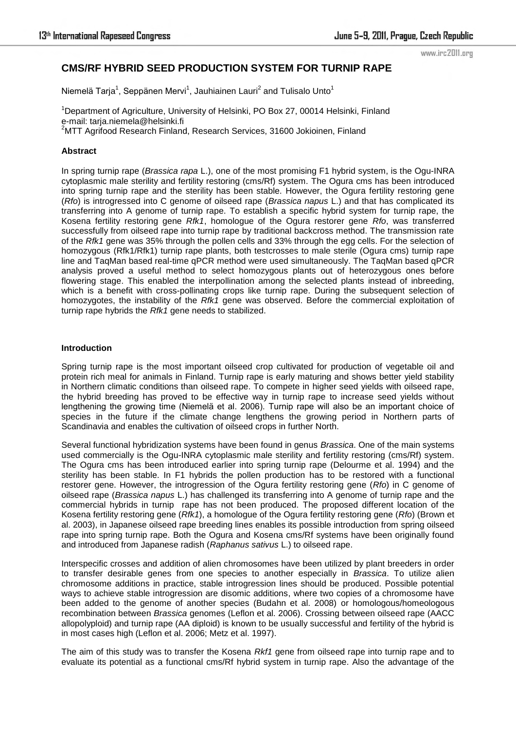#### www.irc2011.org

# **CMS/RF HYBRID SEED PRODUCTION SYSTEM FOR TURNIP RAPE**

Niemelä Tarja<sup>1</sup>, Seppänen Mervi<sup>1</sup>, Jauhiainen Lauri<sup>2</sup> and Tulisalo Unto<sup>1</sup>

<sup>1</sup>Department of Agriculture, University of Helsinki, PO Box 27, 00014 Helsinki, Finland e-mail: tarja.niemela@helsinki.fi <sup>2</sup>MTT Agrifood Research Finland, Research Services, 31600 Jokioinen, Finland

### **Abstract**

In spring turnip rape (*Brassica rapa* L.), one of the most promising F1 hybrid system, is the Ogu-INRA cytoplasmic male sterility and fertility restoring (cms/Rf) system. The Ogura cms has been introduced into spring turnip rape and the sterility has been stable. However, the Ogura fertility restoring gene (*Rfo*) is introgressed into C genome of oilseed rape (*Brassica napus* L.) and that has complicated its transferring into A genome of turnip rape. To establish a specific hybrid system for turnip rape, the Kosena fertility restoring gene *Rfk1*, homologue of the Ogura restorer gene *Rfo*, was transferred successfully from oilseed rape into turnip rape by traditional backcross method. The transmission rate of the *Rfk1* gene was 35% through the pollen cells and 33% through the egg cells. For the selection of homozygous (Rfk1/Rfk1) turnip rape plants, both testcrosses to male sterile (Ogura cms) turnip rape line and TaqMan based real-time qPCR method were used simultaneously. The TaqMan based qPCR analysis proved a useful method to select homozygous plants out of heterozygous ones before flowering stage. This enabled the interpollination among the selected plants instead of inbreeding, which is a benefit with cross-pollinating crops like turnip rape. During the subsequent selection of homozygotes, the instability of the *Rfk1* gene was observed. Before the commercial exploitation of turnip rape hybrids the *Rfk1* gene needs to stabilized.

### **Introduction**

Spring turnip rape is the most important oilseed crop cultivated for production of vegetable oil and protein rich meal for animals in Finland. Turnip rape is early maturing and shows better yield stability in Northern climatic conditions than oilseed rape. To compete in higher seed yields with oilseed rape, the hybrid breeding has proved to be effective way in turnip rape to increase seed yields without lengthening the growing time (Niemelä et al. 2006). Turnip rape will also be an important choice of species in the future if the climate change lengthens the growing period in Northern parts of Scandinavia and enables the cultivation of oilseed crops in further North.

Several functional hybridization systems have been found in genus *Brassica*. One of the main systems used commercially is the Ogu-INRA cytoplasmic male sterility and fertility restoring (cms/Rf) system. The Ogura cms has been introduced earlier into spring turnip rape (Delourme et al. 1994) and the sterility has been stable. In F1 hybrids the pollen production has to be restored with a functional restorer gene. However, the introgression of the Ogura fertility restoring gene (*Rfo*) in C genome of oilseed rape (*Brassica napus* L.) has challenged its transferring into A genome of turnip rape and the commercial hybrids in turnip rape has not been produced. The proposed different location of the Kosena fertility restoring gene (*Rfk1*), a homologue of the Ogura fertility restoring gene (*Rfo*) (Brown et al. 2003), in Japanese oilseed rape breeding lines enables its possible introduction from spring oilseed rape into spring turnip rape. Both the Ogura and Kosena cms/Rf systems have been originally found and introduced from Japanese radish (*Raphanus sativus* L.) to oilseed rape.

Interspecific crosses and addition of alien chromosomes have been utilized by plant breeders in order to transfer desirable genes from one species to another especially in *Brassica*. To utilize alien chromosome additions in practice, stable introgression lines should be produced. Possible potential ways to achieve stable introgression are disomic additions, where two copies of a chromosome have been added to the genome of another species (Budahn et al. 2008) or homologous/homeologous recombination between *Brassica* genomes (Leflon et al. 2006). Crossing between oilseed rape (AACC allopolyploid) and turnip rape (AA diploid) is known to be usually successful and fertility of the hybrid is in most cases high (Leflon et al. 2006; Metz et al. 1997).

The aim of this study was to transfer the Kosena *Rkf1* gene from oilseed rape into turnip rape and to evaluate its potential as a functional cms/Rf hybrid system in turnip rape. Also the advantage of the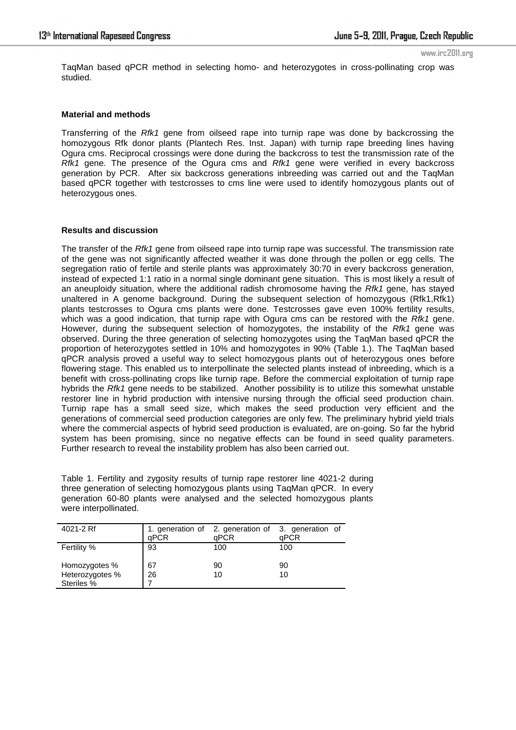www.irc2011.org

TaqMan based qPCR method in selecting homo- and heterozygotes in cross-pollinating crop was studied.

## **Material and methods**

Transferring of the *Rfk1* gene from oilseed rape into turnip rape was done by backcrossing the homozygous Rfk donor plants (Plantech Res. Inst. Japan) with turnip rape breeding lines having Ogura cms. Reciprocal crossings were done during the backcross to test the transmission rate of the *Rfk1* gene. The presence of the Ogura cms and *Rfk1* gene were verified in every backcross generation by PCR. After six backcross generations inbreeding was carried out and the TaqMan based qPCR together with testcrosses to cms line were used to identify homozygous plants out of heterozygous ones.

### **Results and discussion**

The transfer of the *Rfk1* gene from oilseed rape into turnip rape was successful. The transmission rate of the gene was not significantly affected weather it was done through the pollen or egg cells. The segregation ratio of fertile and sterile plants was approximately 30:70 in every backcross generation, instead of expected 1:1 ratio in a normal single dominant gene situation. This is most likely a result of an aneuploidy situation, where the additional radish chromosome having the *Rfk1* gene, has stayed unaltered in A genome background. During the subsequent selection of homozygous (Rfk1,Rfk1) plants testcrosses to Ogura cms plants were done. Testcrosses gave even 100% fertility results, which was a good indication, that turnip rape with Ogura cms can be restored with the *Rfk1* gene. However, during the subsequent selection of homozygotes, the instability of the *Rfk1* gene was observed. During the three generation of selecting homozygotes using the TaqMan based qPCR the proportion of heterozygotes settled in 10% and homozygotes in 90% (Table 1.). The TaqMan based qPCR analysis proved a useful way to select homozygous plants out of heterozygous ones before flowering stage. This enabled us to interpollinate the selected plants instead of inbreeding, which is a benefit with cross-pollinating crops like turnip rape. Before the commercial exploitation of turnip rape hybrids the *Rfk1* gene needs to be stabilized. Another possibility is to utilize this somewhat unstable restorer line in hybrid production with intensive nursing through the official seed production chain. Turnip rape has a small seed size, which makes the seed production very efficient and the generations of commercial seed production categories are only few. The preliminary hybrid yield trials where the commercial aspects of hybrid seed production is evaluated, are on-going. So far the hybrid system has been promising, since no negative effects can be found in seed quality parameters. Further research to reveal the instability problem has also been carried out.

Table 1. Fertility and zygosity results of turnip rape restorer line 4021-2 during three generation of selecting homozygous plants using TaqMan qPCR. In every generation 60-80 plants were analysed and the selected homozygous plants were interpollinated.

| 4021-2 Rf                        | aPCR     | aPCR     | 1. generation of 2. generation of 3. generation of<br>aPCR |
|----------------------------------|----------|----------|------------------------------------------------------------|
| Fertility %                      | 93       | 100      | 100                                                        |
| Homozygotes %<br>Heterozygotes % | 67<br>26 | 90<br>10 | 90<br>10                                                   |
| Steriles %                       |          |          |                                                            |